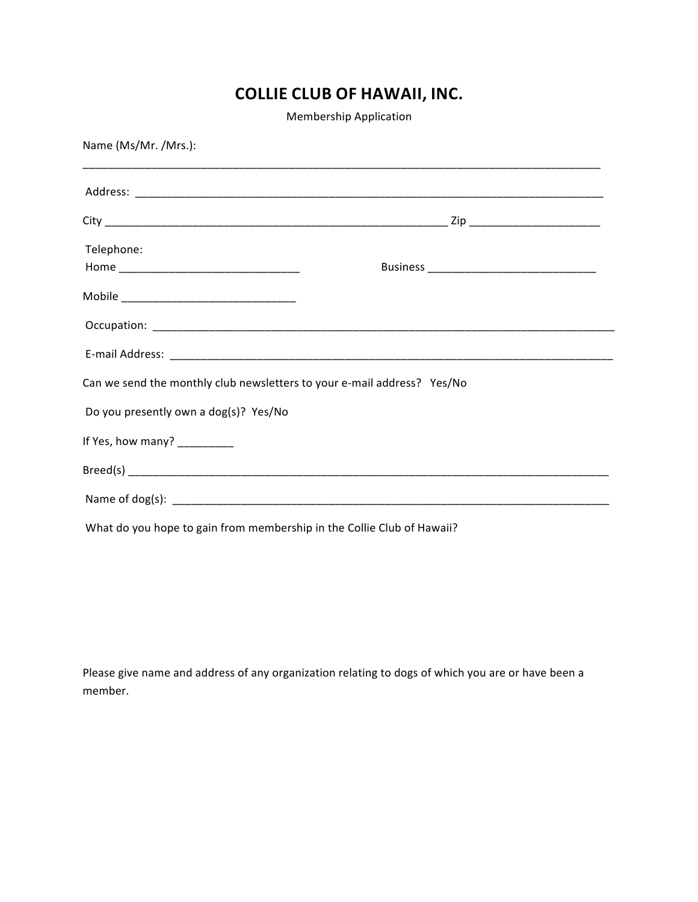## **COLLIE CLUB OF HAWAII, INC.**

Membership Application

| Name (Ms/Mr. /Mrs.):                                                    |  |
|-------------------------------------------------------------------------|--|
|                                                                         |  |
|                                                                         |  |
| Telephone:                                                              |  |
|                                                                         |  |
|                                                                         |  |
|                                                                         |  |
| Can we send the monthly club newsletters to your e-mail address? Yes/No |  |
| Do you presently own a dog(s)? Yes/No                                   |  |
| If Yes, how many? _________                                             |  |
|                                                                         |  |
|                                                                         |  |
| What do you hope to gain from membership in the Collie Club of Hawaii?  |  |

Please give name and address of any organization relating to dogs of which you are or have been a member.